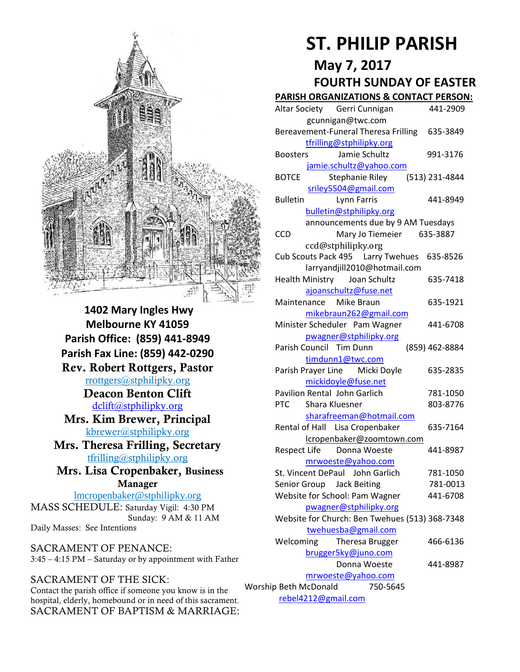

**1402 Mary Ingles Hwy Melbourne KY 41059 Parish Office: (859) 441-8949 Parish Fax Line: (859) 442-0290 Rev. Robert Rottgers, Pastor**  [rrottgers@stphilipky.org](mailto:rrottgers@stphilipky.org) **Deacon Benton Clift**  [dclift@stphilipky.org](mailto:dclift@stphilipky.org) **Mrs. Kim Brewer, Principal**  [kbrewer@stphilipky.org](mailto:kbrewer@stphilipky.org) **Mrs. Theresa Frilling, Secretary**  [tfrilling@stphilipky.org](mailto:tfrilling@stphilipky.org) **Mrs. Lisa Cropenbaker, Business Manager**  lmcropenbaker@stphilipky.org

MASS SCHEDULE: Saturday Vigil: 4:30 PM Sunday: 9 AM & 11 AM Daily Masses: See Intentions

SACRAMENT OF PENANCE: 3:45 – 4:15 PM – Saturday or by appointment with Father

#### SACRAMENT OF THE SICK:

Contact the parish office if someone you know is in the hospital, elderly, homebound or in need of this sacrament. SACRAMENT OF BAPTISM & MARRIAGE:

# **ST. PHILIP PARISH**

# **May 7, 2017**

# **FOURTH SUNDAY OF EASTER**

#### **PARISH ORGANIZATIONS & CONTACT PERSON:**

|                                   | Altar Society Gerri Cunnigan                   |  | 441-2909       |
|-----------------------------------|------------------------------------------------|--|----------------|
|                                   | gcunnigan@twc.com                              |  |                |
|                                   | Bereavement-Funeral Theresa Frilling 635-3849  |  |                |
|                                   | tfrilling@stphilipky.org                       |  |                |
|                                   | Jamie Schultz<br><b>Boosters</b>               |  | 991-3176       |
|                                   | jamie.schultz@yahoo.com                        |  |                |
|                                   | <b>BOTCE</b><br>Stephanie Riley                |  | (513) 231-4844 |
|                                   | sriley5504@gmail.com                           |  |                |
|                                   | <b>Bulletin</b><br>Lynn Farris                 |  | 441-8949       |
|                                   | bulletin@stphilipky.org                        |  |                |
|                                   | announcements due by 9 AM Tuesdays             |  |                |
|                                   | <b>CCD</b><br>Mary Jo Tiemeier 635-3887        |  |                |
|                                   | ccd@stphilipky.org                             |  |                |
|                                   | Cub Scouts Pack 495   Larry Twehues   635-8526 |  |                |
|                                   | larryandjill2010@hotmail.com                   |  |                |
|                                   | <b>Health Ministry</b><br>Joan Schultz         |  | 635-7418       |
|                                   | ajoanschultz@fuse.net                          |  |                |
|                                   | Maintenance Mike Braun                         |  | 635-1921       |
|                                   | mikebraun262@gmail.com                         |  |                |
|                                   | Minister Scheduler Pam Wagner                  |  | 441-6708       |
|                                   | pwagner@stphilipky.org                         |  |                |
|                                   | Parish Council Tim Dunn                        |  | (859) 462-8884 |
|                                   | timdunn1@twc.com                               |  |                |
|                                   | Parish Prayer Line Micki Doyle                 |  | 635-2835       |
|                                   | mickidoyle@fuse.net                            |  |                |
|                                   | Pavilion Rental John Garlich                   |  | 781-1050       |
|                                   | <b>PTC</b><br>Shara Kluesner                   |  | 803-8776       |
|                                   | sharafreeman@hotmail.com                       |  |                |
|                                   | Rental of Hall Lisa Cropenbaker                |  | 635-7164       |
|                                   | lcropenbaker@zoomtown.com                      |  |                |
|                                   | Respect Life Donna Woeste                      |  | 441-8987       |
|                                   | mrwoeste@yahoo.com                             |  |                |
|                                   | St. Vincent DePaul John Garlich                |  | 781-1050       |
|                                   | Senior Group Jack Beiting                      |  | 781-0013       |
|                                   | Website for School: Pam Wagner                 |  | 441-6708       |
|                                   | pwagner@stphilipky.org                         |  |                |
|                                   | Website for Church: Ben Twehues (513) 368-7348 |  |                |
|                                   | twehuesba@gmail.com                            |  |                |
|                                   | Welcoming<br>Theresa Brugger                   |  | 466-6136       |
|                                   | brugger5ky@juno.com                            |  |                |
|                                   | Donna Woeste                                   |  | 441-8987       |
|                                   | mrwoeste@yahoo.com                             |  |                |
| Worship Beth McDonald<br>750-5645 |                                                |  |                |
| rebel4212@gmail.com               |                                                |  |                |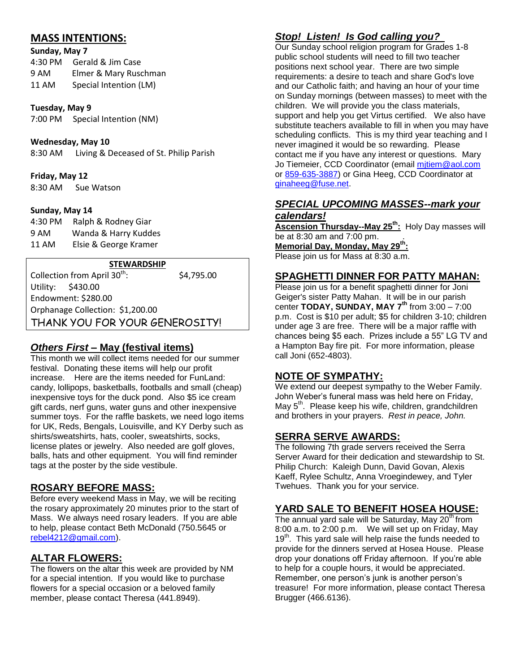## **MASS INTENTIONS:**

#### **Sunday, May 7**

| 4:30 PM | Gerald & Jim Case      |
|---------|------------------------|
| 9 AM    | Elmer & Mary Ruschman  |
| 11 AM   | Special Intention (LM) |

#### **Tuesday, May 9**

7:00 PM Special Intention (NM)

#### **Wednesday, May 10**

8:30 AM Living & Deceased of St. Philip Parish

#### **Friday, May 12**

8:30 AM Sue Watson

#### **Sunday, May 14**

4:30 PM Ralph & Rodney Giar 9 AM Wanda & Harry Kuddes 11 AM Elsie & George Kramer

#### **STEWARDSHIP**

Collection from April 30<sup>th</sup>: : \$4,795.00 Utility: \$430.00 Endowment: \$280.00 Orphanage Collection: \$1,200.00 THANK YOU FOR YOUR GENEROSITY!

#### *Others First* **– May (festival items)**

This month we will collect items needed for our summer festival. Donating these items will help our profit increase. Here are the items needed for FunLand: candy, lollipops, basketballs, footballs and small (cheap) inexpensive toys for the duck pond. Also \$5 ice cream gift cards, nerf guns, water guns and other inexpensive summer toys. For the raffle baskets, we need logo items for UK, Reds, Bengals, Louisville, and KY Derby such as shirts/sweatshirts, hats, cooler, sweatshirts, socks, license plates or jewelry. Also needed are golf gloves, balls, hats and other equipment. You will find reminder tags at the poster by the side vestibule.

#### **ROSARY BEFORE MASS:**

Before every weekend Mass in May, we will be reciting the rosary approximately 20 minutes prior to the start of Mass. We always need rosary leaders. If you are able to help, please contact Beth McDonald (750.5645 or [rebel4212@gmail.com\)](mailto:rebel4212@gmail.com).

## **ALTAR FLOWERS:**

The flowers on the altar this week are provided by NM for a special intention. If you would like to purchase flowers for a special occasion or a beloved family member, please contact Theresa (441.8949).

# *Stop! Listen! Is God calling you?*

Our Sunday school religion program for Grades 1-8 public school students will need to fill two teacher positions next school year. There are two simple requirements: a desire to teach and share God's love and our Catholic faith; and having an hour of your time on Sunday mornings (between masses) to meet with the children. We will provide you the class materials, support and help you get Virtus certified. We also have substitute teachers available to fill in when you may have scheduling conflicts. This is my third year teaching and I never imagined it would be so rewarding. Please contact me if you have any interest or questions. Mary Jo Tiemeier, CCD Coordinator (email mitiem@aol.com or [859-635-3887\)](tel:%28859%29%20635-3887) or Gina Heeg, CCD Coordinator at [ginaheeg@fuse.net.](mailto:ginaheeg@fuse.net)

#### *SPECIAL UPCOMING MASSES--mark your calendars!*

**Ascension Thursday--May 25th:** Holy Day masses will be at 8:30 am and 7:00 pm. . **Memorial Day, Monday, May 29th:** Please join us for Mass at 8:30 a.m.

#### **SPAGHETTI DINNER FOR PATTY MAHAN:**

Please join us for a benefit spaghetti dinner for Joni Geiger's sister Patty Mahan. It will be in our parish center **TODAY, SUNDAY, MAY 7th** from 3:00 – 7:00 p.m. Cost is \$10 per adult; \$5 for children 3-10; children under age 3 are free. There will be a major raffle with chances being \$5 each. Prizes include a 55" LG TV and a Hampton Bay fire pit. For more information, please call Joni (652-4803).

#### **NOTE OF SYMPATHY:**

We extend our deepest sympathy to the Weber Family. John Weber's funeral mass was held here on Friday, May 5<sup>th</sup>. Please keep his wife, children, grandchildren and brothers in your prayers. *Rest in peace, John.* 

#### **SERRA SERVE AWARDS:**

The following 7th grade servers received the Serra Server Award for their dedication and stewardship to St. Philip Church: Kaleigh Dunn, David Govan, Alexis Kaeff, Rylee Schultz, Anna Vroegindewey, and Tyler Twehues. Thank you for your service.

## **YARD SALE TO BENEFIT HOSEA HOUSE:**

The annual vard sale will be Saturday, May 20<sup>th</sup> from 8:00 a.m. to 2:00 p.m. We will set up on Friday, May 19<sup>th</sup>. This yard sale will help raise the funds needed to provide for the dinners served at Hosea House. Please drop your donations off Friday afternoon. If you're able to help for a couple hours, it would be appreciated. Remember, one person's junk is another person's treasure! For more information, please contact Theresa Brugger (466.6136).